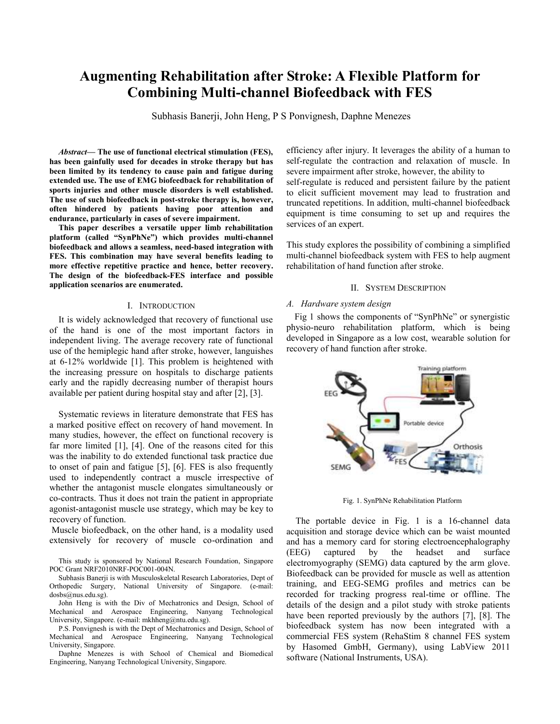# **Augmenting Rehabilitation after Stroke: A Flexible Platform for Combining Multi-channel Biofeedback with FES**

Subhasis Banerji, John Heng, P S Ponvignesh, Daphne Menezes

*Abstract***— The use of functional electrical stimulation (FES), has been gainfully used for decades in stroke therapy but has been limited by its tendency to cause pain and fatigue during extended use. The use of EMG biofeedback for rehabilitation of sports injuries and other muscle disorders is well established. The use of such biofeedback in post-stroke therapy is, however, often hindered by patients having poor attention and endurance, particularly in cases of severe impairment.**

**This paper describes a versatile upper limb rehabilitation platform (called "SynPhNe") which provides multi-channel biofeedback and allows a seamless, need-based integration with FES. This combination may have several benefits leading to more effective repetitive practice and hence, better recovery. The design of the biofeedback-FES interface and possible application scenarios are enumerated.**

#### I. INTRODUCTION

It is widely acknowledged that recovery of functional use of the hand is one of the most important factors in independent living. The average recovery rate of functional use of the hemiplegic hand after stroke, however, languishes at 6-12% worldwide [1]. This problem is heightened with the increasing pressure on hospitals to discharge patients early and the rapidly decreasing number of therapist hours available per patient during hospital stay and after [2], [3].

Systematic reviews in literature demonstrate that FES has a marked positive effect on recovery of hand movement. In many studies, however, the effect on functional recovery is far more limited [1], [4]. One of the reasons cited for this was the inability to do extended functional task practice due to onset of pain and fatigue [5], [6]. FES is also frequently used to independently contract a muscle irrespective of whether the antagonist muscle elongates simultaneously or co-contracts. Thus it does not train the patient in appropriate agonist-antagonist muscle use strategy, which may be key to recovery of function.

Muscle biofeedback, on the other hand, is a modality used extensively for recovery of muscle co-ordination and

John Heng is with the Div of Mechatronics and Design, School of Mechanical and Aerospace Engineering, Nanyang Technological University, Singapore. (e-mail: mkhheng@ntu.edu.sg).

P.S. Ponvignesh is with the Dept of Mechatronics and Design, School of Mechanical and Aerospace Engineering, Nanyang Technological University, Singapore.

Daphne Menezes is with School of Chemical and Biomedical Engineering, Nanyang Technological University, Singapore.

efficiency after injury. It leverages the ability of a human to self-regulate the contraction and relaxation of muscle. In severe impairment after stroke, however, the ability to self-regulate is reduced and persistent failure by the patient to elicit sufficient movement may lead to frustration and truncated repetitions. In addition, multi-channel biofeedback equipment is time consuming to set up and requires the services of an expert.

This study explores the possibility of combining a simplified multi-channel biofeedback system with FES to help augment rehabilitation of hand function after stroke.

# II. SYSTEM DESCRIPTION

#### *A. Hardware system design*

Fig 1 shows the components of "SynPhNe" or synergistic physio-neuro rehabilitation platform, which is being developed in Singapore as a low cost, wearable solution for recovery of hand function after stroke.



Fig. 1. SynPhNe Rehabilitation Platform

The portable device in Fig. 1 is a 16-channel data acquisition and storage device which can be waist mounted and has a memory card for storing electroencephalography (EEG) captured by the headset and surface electromyography (SEMG) data captured by the arm glove. Biofeedback can be provided for muscle as well as attention training, and EEG-SEMG profiles and metrics can be recorded for tracking progress real-time or offline. The details of the design and a pilot study with stroke patients have been reported previously by the authors [7], [8]. The biofeedback system has now been integrated with a commercial FES system (RehaStim 8 channel FES system by Hasomed GmbH, Germany), using LabView 2011 software (National Instruments, USA).

This study is sponsored by National Research Foundation, Singapore POC Grant NRF2010NRF-POC001-004N.

Subhasis Banerji is with Musculoskeletal Research Laboratories, Dept of Orthopedic Surgery, National University of Singapore. (e-mail: dosbs@nus.edu.sg).